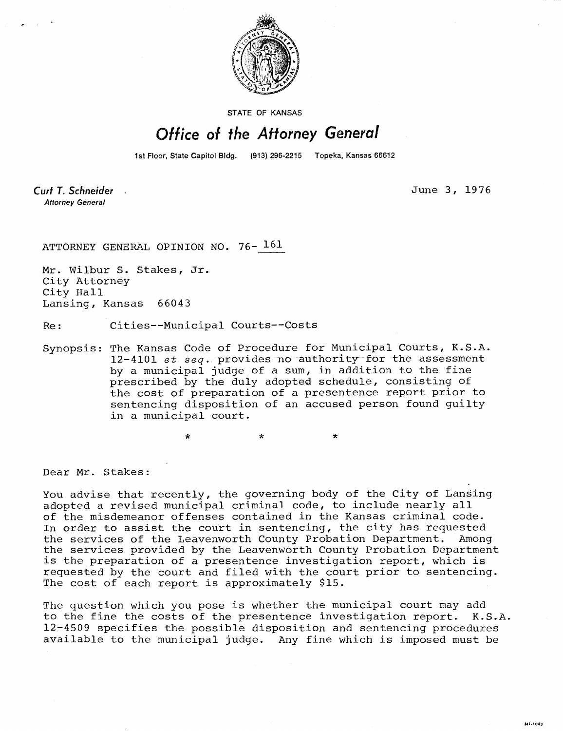

STATE OF KANSAS

## Office of the Attorney General

1st Floor, State Capitol Bldg. (913) 296-2215 Topeka, Kansas 66612

Curt T. Schneider **Attorney General** 

June 3, 1976

MILTOAR

ATTORNEY GENERAL OPINION NO. 76- 161

Mr. Wilbur S. Stakes, Jr. City Attorney City Hall Lansing, Kansas 66043

Re: Cities--Municipal Courts--Costs

Synopsis: The Kansas Code of Procedure for Municipal Courts, K.S.A. 12-4101  $et$   $seq$ . provides no authority for the assessment by a municipal judge of a sum, in addition to the fine prescribed by the duly adopted schedule, consisting of the cost of preparation of a presentence report prior to sentencing disposition of an accused person found guilty in a municipal court.

 $\ddot{\textbf{x}}$ 

Dear Mr. Stakes:

You advise that recently, the governing body of the City of Lansing adopted a revised municipal criminal code, to include nearly all of the misdemeanor offenses contained in the Kansas criminal code. In order to assist the court in sentencing, the city has requested the services of the Leavenworth County Probation Department. Among the services provided by the Leavenworth County Probation Department is the preparation of a presentence investigation report, which is requested by the court and filed with the court prior to sentencing. The cost of each report is approximately \$15.

The question which you pose is whether the municipal court may add to the fine the costs of the presentence investigation report. K.S.A. 12-4509 specifies the possible disposition and sentencing procedures available to the municipal judge. Any fine which is imposed must be